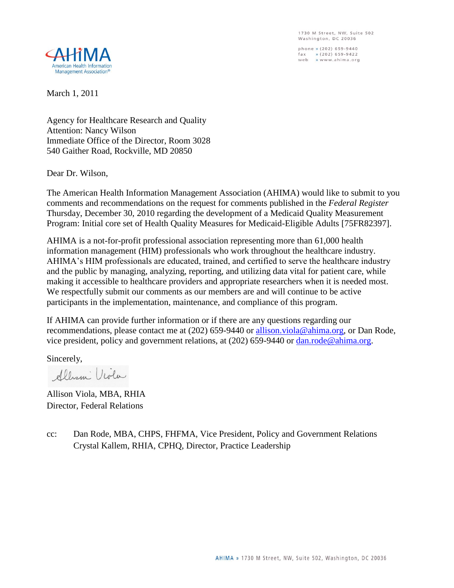1730 M Street, NW, Suite 502 Washington, DC 20036

phone » (202) 659-9440  $\begin{array}{lll} \text{fax} & \text{# (202) 659-9422} \\ \text{web} & \text{# www.ahima.org}) \end{array}$ 



March 1, 2011

Agency for Healthcare Research and Quality Attention: Nancy Wilson Immediate Office of the Director, Room 3028 540 Gaither Road, Rockville, MD 20850

Dear Dr. Wilson,

The American Health Information Management Association (AHIMA) would like to submit to you comments and recommendations on the request for comments published in the *Federal Register* Thursday, December 30, 2010 regarding the development of a Medicaid Quality Measurement Program: Initial core set of Health Quality Measures for Medicaid-Eligible Adults [75FR82397].

AHIMA is a not-for-profit professional association representing more than 61,000 health information management (HIM) professionals who work throughout the healthcare industry. AHIMA's HIM professionals are educated, trained, and certified to serve the healthcare industry and the public by managing, analyzing, reporting, and utilizing data vital for patient care, while making it accessible to healthcare providers and appropriate researchers when it is needed most. We respectfully submit our comments as our members are and will continue to be active participants in the implementation, maintenance, and compliance of this program.

If AHIMA can provide further information or if there are any questions regarding our recommendations, please contact me at (202) 659-9440 or [allison.viola@ahima.org,](mailto:allison.viola@ahima.org) or Dan Rode, vice president, policy and government relations, at (202) 659-9440 or [dan.rode@ahima.org.](mailto:dan.rode@ahima.org)

Sincerely,

Albani Viola

Allison Viola, MBA, RHIA Director, Federal Relations

cc: Dan Rode, MBA, CHPS, FHFMA, Vice President, Policy and Government Relations Crystal Kallem, RHIA, CPHQ, Director, Practice Leadership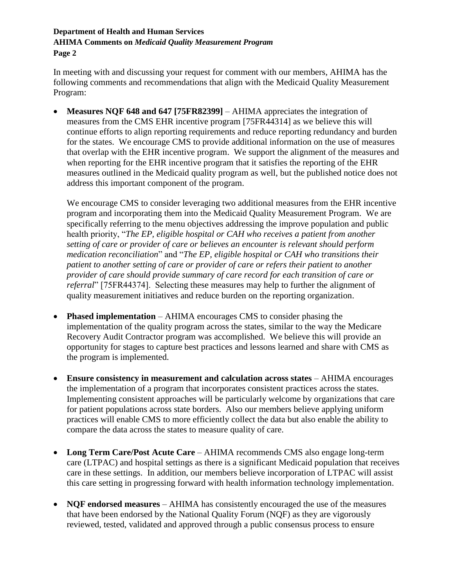## **Department of Health and Human Services AHIMA Comments on** *Medicaid Quality Measurement Program* **Page 2**

In meeting with and discussing your request for comment with our members, AHIMA has the following comments and recommendations that align with the Medicaid Quality Measurement Program:

 **Measures NQF 648 and 647 [75FR82399]** – AHIMA appreciates the integration of measures from the CMS EHR incentive program [75FR44314] as we believe this will continue efforts to align reporting requirements and reduce reporting redundancy and burden for the states. We encourage CMS to provide additional information on the use of measures that overlap with the EHR incentive program. We support the alignment of the measures and when reporting for the EHR incentive program that it satisfies the reporting of the EHR measures outlined in the Medicaid quality program as well, but the published notice does not address this important component of the program.

We encourage CMS to consider leveraging two additional measures from the EHR incentive program and incorporating them into the Medicaid Quality Measurement Program. We are specifically referring to the menu objectives addressing the improve population and public health priority, "*The EP, eligible hospital or CAH who receives a patient from another setting of care or provider of care or believes an encounter is relevant should perform medication reconciliation*" and "*The EP, eligible hospital or CAH who transitions their patient to another setting of care or provider of care or refers their patient to another provider of care should provide summary of care record for each transition of care or referral*" [75FR44374]. Selecting these measures may help to further the alignment of quality measurement initiatives and reduce burden on the reporting organization.

- **Phased implementation** AHIMA encourages CMS to consider phasing the implementation of the quality program across the states, similar to the way the Medicare Recovery Audit Contractor program was accomplished. We believe this will provide an opportunity for stages to capture best practices and lessons learned and share with CMS as the program is implemented.
- **Ensure consistency in measurement and calculation across states** AHIMA encourages the implementation of a program that incorporates consistent practices across the states. Implementing consistent approaches will be particularly welcome by organizations that care for patient populations across state borders. Also our members believe applying uniform practices will enable CMS to more efficiently collect the data but also enable the ability to compare the data across the states to measure quality of care.
- **Long Term Care/Post Acute Care** AHIMA recommends CMS also engage long-term care (LTPAC) and hospital settings as there is a significant Medicaid population that receives care in these settings. In addition, our members believe incorporation of LTPAC will assist this care setting in progressing forward with health information technology implementation.
- **NQF endorsed measures** AHIMA has consistently encouraged the use of the measures that have been endorsed by the National Quality Forum (NQF) as they are vigorously reviewed, tested, validated and approved through a public consensus process to ensure